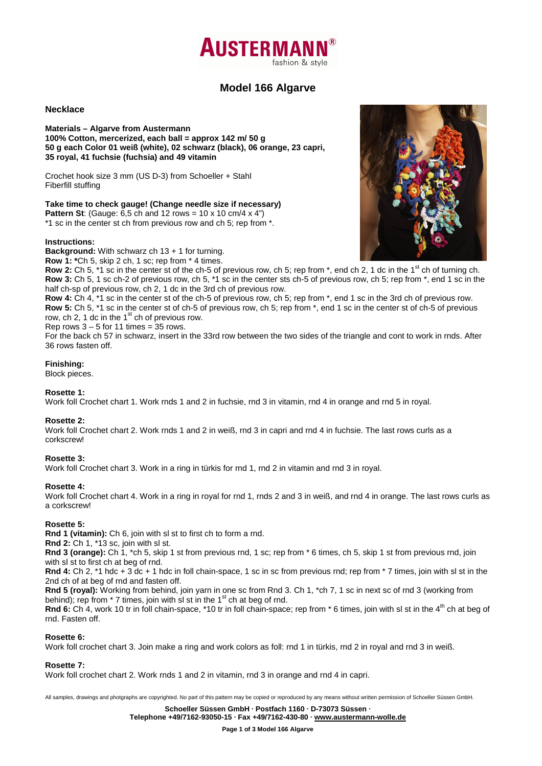# **AUSTERMA** fashion & style

## **Model 166 Algarve**

#### **Necklace**

**Materials – Algarve from Austermann 100% Cotton, mercerized, each ball = approx 142 m/ 50 g 50 g each Color 01 weiß (white), 02 schwarz (black), 06 orange, 23 capri, 35 royal, 41 fuchsie (fuchsia) and 49 vitamin** 

Crochet hook size 3 mm (US D-3) from Schoeller + Stahl Fiberfill stuffing

**Take time to check gauge! (Change needle size if necessary)** 

**Pattern St**: (Gauge: 6,5 ch and 12 rows = 10 x 10 cm/4 x 4") \*1 sc in the center st ch from previous row and ch 5; rep from \*.

## **Instructions:**

**Background:** With schwarz ch 13 + 1 for turning.

**Row 1: \***Ch 5, skip 2 ch, 1 sc; rep from \* 4 times.

**Row 2:** Ch 5, <sup>\*</sup>1 sc in the center st of the ch-5 of previous row, ch 5; rep from  $*$ , end ch 2, 1 dc in the 1<sup>st</sup> ch of turning ch. **Row 3:** Ch 5, 1 sc ch-2 of previous row, ch 5, \*1 sc in the center sts ch-5 of previous row, ch 5; rep from \*, end 1 sc in the half ch-sp of previous row, ch 2, 1 dc in the 3rd ch of previous row.

**Row 4:** Ch 4, \*1 sc in the center st of the ch-5 of previous row, ch 5; rep from \*, end 1 sc in the 3rd ch of previous row. **Row 5:** Ch 5, \*1 sc in the center st of ch-5 of previous row, ch 5; rep from \*, end 1 sc in the center st of ch-5 of previous row, ch 2, 1 dc in the  $1<sup>st</sup>$  ch of previous row.

Rep rows  $3 - 5$  for 11 times = 35 rows.

For the back ch 57 in schwarz, insert in the 33rd row between the two sides of the triangle and cont to work in rnds. After 36 rows fasten off.

## **Finishing:**

Block pieces.

## **Rosette 1:**

Work foll Crochet chart 1. Work rnds 1 and 2 in fuchsie, rnd 3 in vitamin, rnd 4 in orange and rnd 5 in royal.

## **Rosette 2:**

Work foll Crochet chart 2. Work rnds 1 and 2 in weiß, rnd 3 in capri and rnd 4 in fuchsie. The last rows curls as a corkscrew!

## **Rosette 3:**

Work foll Crochet chart 3. Work in a ring in türkis for rnd 1, rnd 2 in vitamin and rnd 3 in royal.

## **Rosette 4:**

Work foll Crochet chart 4. Work in a ring in royal for rnd 1, rnds 2 and 3 in weiß, and rnd 4 in orange. The last rows curls as a corkscrew!

## **Rosette 5:**

**Rnd 1 (vitamin):** Ch 6, join with sl st to first ch to form a rnd.

**Rnd 2:** Ch 1, \*13 sc, join with sl st.

**Rnd 3 (orange):** Ch 1, \*ch 5, skip 1 st from previous rnd, 1 sc; rep from \* 6 times, ch 5, skip 1 st from previous rnd, join with sl st to first ch at beg of rnd.

**Rnd 4:** Ch 2, \*1 hdc + 3 dc + 1 hdc in foll chain-space, 1 sc in sc from previous rnd; rep from \* 7 times, join with sl st in the 2nd ch of at beg of rnd and fasten off.

**Rnd 5 (royal):** Working from behind, join yarn in one sc from Rnd 3. Ch 1, \*ch 7, 1 sc in next sc of rnd 3 (working from behind); rep from  $*$  7 times, join with sl st in the 1<sup>st</sup> ch at beg of rnd.

Rnd 6: Ch 4, work 10 tr in foll chain-space, \*10 tr in foll chain-space; rep from \* 6 times, join with sl st in the 4<sup>th</sup> ch at beg of rnd. Fasten off.

## **Rosette 6:**

Work foll crochet chart 3. Join make a ring and work colors as foll: rnd 1 in türkis, rnd 2 in royal and rnd 3 in weiß.

## **Rosette 7:**

Work foll crochet chart 2. Work rnds 1 and 2 in vitamin, rnd 3 in orange and rnd 4 in capri.

All samples, drawings and photgraphs are copyrighted. No part of this pattern may be copied or reproduced by any means without written permission of Schoeller Süssen GmbH.

**Schoeller Süssen GmbH · Postfach 1160 · D-73073 Süssen ·**

**Telephone +49/7162-93050-15 · Fax +49/7162-430-80 · www.austermann-wolle.de**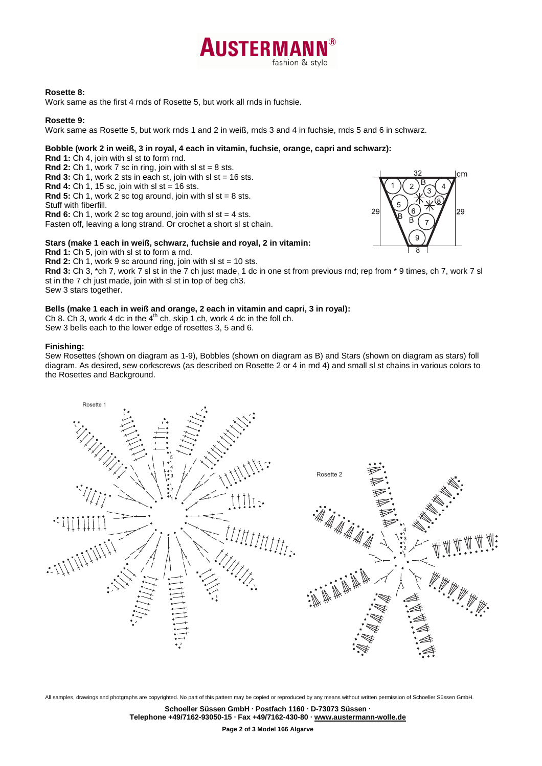

#### **Rosette 8:**

Work same as the first 4 rnds of Rosette 5, but work all rnds in fuchsie.

#### **Rosette 9:**

Work same as Rosette 5, but work rnds 1 and 2 in weiß, rnds 3 and 4 in fuchsie, rnds 5 and 6 in schwarz.

#### **Bobble (work 2 in weiß, 3 in royal, 4 each in vitamin, fuchsie, orange, capri and schwarz):**

**Rnd 1:** Ch 4, join with sl st to form rnd. **Rnd 2:** Ch 1, work 7 sc in ring, join with  $sl$  st = 8 sts. **Rnd 3:** Ch 1, work 2 sts in each st, join with sl st = 16 sts. **Rnd 4:** Ch 1, 15 sc, join with sl st = 16 sts. **Rnd 5:** Ch 1, work 2 sc tog around, join with sl st =  $8$  sts. Stuff with fiberfill. **Rnd 6:** Ch 1, work 2 sc tog around, join with sl st = 4 sts. Fasten off, leaving a long strand. Or crochet a short sl st chain.

#### **Stars (make 1 each in weiß, schwarz, fuchsie and royal, 2 in vitamin:**

**Rnd 1:** Ch 5, join with sl st to form a rnd.

**Rnd 2:** Ch 1, work 9 sc around ring, join with sl st = 10 sts.

**Rnd 3:** Ch 3, \*ch 7, work 7 sl st in the 7 ch just made, 1 dc in one st from previous rnd; rep from \* 9 times, ch 7, work 7 sl st in the 7 ch just made, join with sl st in top of beg ch3.

cm

29

 $29$ 

Sew 3 stars together.

#### **Bells (make 1 each in weiß and orange, 2 each in vitamin and capri, 3 in royal):**

Ch 8. Ch 3, work 4 dc in the  $4<sup>th</sup>$  ch, skip 1 ch, work 4 dc in the foll ch. Sew 3 bells each to the lower edge of rosettes 3, 5 and 6.

#### **Finishing:**

Sew Rosettes (shown on diagram as 1-9), Bobbles (shown on diagram as B) and Stars (shown on diagram as stars) foll diagram. As desired, sew corkscrews (as described on Rosette 2 or 4 in rnd 4) and small sl st chains in various colors to the Rosettes and Background.



All samples, drawings and photgraphs are copyrighted. No part of this pattern may be copied or reproduced by any means without written permission of Schoeller Süssen GmbH.

**Schoeller Süssen GmbH · Postfach 1160 · D-73073 Süssen · Telephone +49/7162-93050-15 · Fax +49/7162-430-80 · www.austermann-wolle.de**